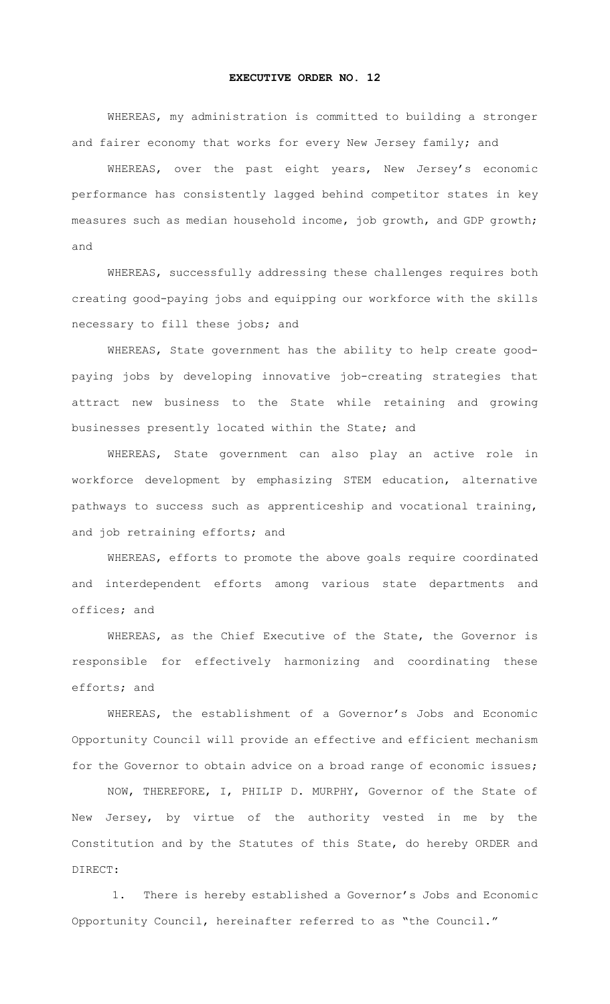## **EXECUTIVE ORDER NO. 12**

WHEREAS, my administration is committed to building a stronger and fairer economy that works for every New Jersey family; and

WHEREAS, over the past eight years, New Jersey's economic performance has consistently lagged behind competitor states in key measures such as median household income, job growth, and GDP growth; and

WHEREAS, successfully addressing these challenges requires both creating good-paying jobs and equipping our workforce with the skills necessary to fill these jobs; and

WHEREAS, State government has the ability to help create goodpaying jobs by developing innovative job-creating strategies that attract new business to the State while retaining and growing businesses presently located within the State; and

WHEREAS, State government can also play an active role in workforce development by emphasizing STEM education, alternative pathways to success such as apprenticeship and vocational training, and job retraining efforts; and

WHEREAS, efforts to promote the above goals require coordinated and interdependent efforts among various state departments and offices; and

WHEREAS, as the Chief Executive of the State, the Governor is responsible for effectively harmonizing and coordinating these efforts; and

WHEREAS, the establishment of a Governor's Jobs and Economic Opportunity Council will provide an effective and efficient mechanism for the Governor to obtain advice on a broad range of economic issues;

NOW, THEREFORE, I, PHILIP D. MURPHY, Governor of the State of New Jersey, by virtue of the authority vested in me by the Constitution and by the Statutes of this State, do hereby ORDER and DIRECT:

1. There is hereby established a Governor's Jobs and Economic Opportunity Council, hereinafter referred to as "the Council."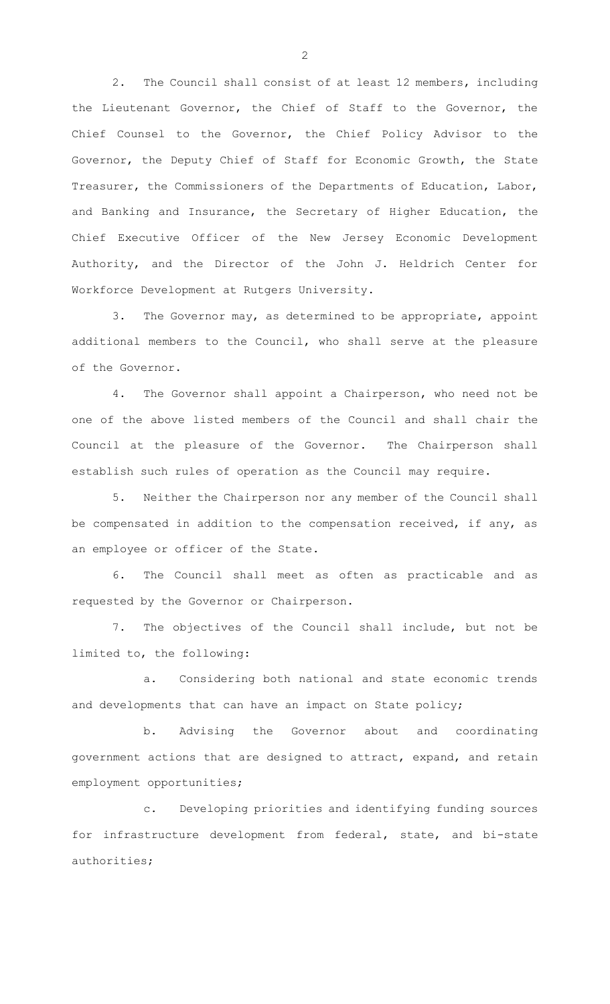2. The Council shall consist of at least 12 members, including the Lieutenant Governor, the Chief of Staff to the Governor, the Chief Counsel to the Governor, the Chief Policy Advisor to the Governor, the Deputy Chief of Staff for Economic Growth, the State Treasurer, the Commissioners of the Departments of Education, Labor, and Banking and Insurance, the Secretary of Higher Education, the Chief Executive Officer of the New Jersey Economic Development Authority, and the Director of the John J. Heldrich Center for Workforce Development at Rutgers University.

3. The Governor may, as determined to be appropriate, appoint additional members to the Council, who shall serve at the pleasure of the Governor.

4. The Governor shall appoint a Chairperson, who need not be one of the above listed members of the Council and shall chair the Council at the pleasure of the Governor. The Chairperson shall establish such rules of operation as the Council may require.

5. Neither the Chairperson nor any member of the Council shall be compensated in addition to the compensation received, if any, as an employee or officer of the State.

6. The Council shall meet as often as practicable and as requested by the Governor or Chairperson.

7. The objectives of the Council shall include, but not be limited to, the following:

a. Considering both national and state economic trends and developments that can have an impact on State policy;

b. Advising the Governor about and coordinating government actions that are designed to attract, expand, and retain employment opportunities;

c. Developing priorities and identifying funding sources for infrastructure development from federal, state, and bi-state authorities;

2